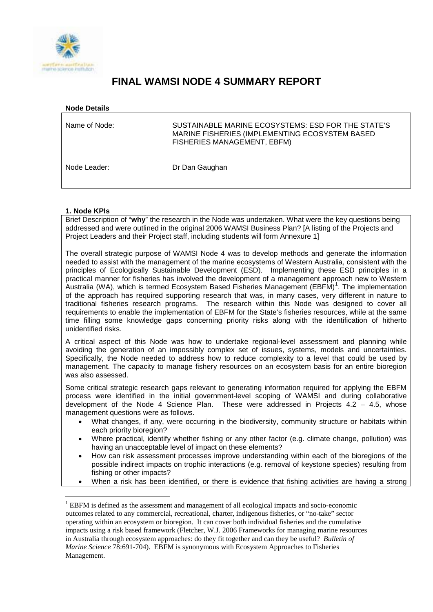

# **FINAL WAMSI NODE 4 SUMMARY REPORT**

| <b>Node Details</b> |                                                                                                                                     |
|---------------------|-------------------------------------------------------------------------------------------------------------------------------------|
| Name of Node:       | SUSTAINABLE MARINE ECOSYSTEMS: ESD FOR THE STATE'S<br>MARINE FISHERIES (IMPLEMENTING ECOSYSTEM BASED<br>FISHERIES MANAGEMENT, EBFM) |
| Node Leader:        | Dr Dan Gaughan                                                                                                                      |

# **1. Node KPIs**

Brief Description of "**why**" the research in the Node was undertaken. What were the key questions being addressed and were outlined in the original 2006 WAMSI Business Plan? [A listing of the Projects and Project Leaders and their Project staff, including students will form Annexure 1]

The overall strategic purpose of WAMSI Node 4 was to develop methods and generate the information needed to assist with the management of the marine ecosystems of Western Australia, consistent with the principles of Ecologically Sustainable Development (ESD). Implementing these ESD principles in a practical manner for fisheries has involved the development of a management approach new to Western Australia (WA), which is termed Ecosystem Based Fisheries Management (EBFM)<sup>[1](#page-0-0)</sup>. The implementation of the approach has required supporting research that was, in many cases, very different in nature to traditional fisheries research programs. The research within this Node was designed to cover all requirements to enable the implementation of EBFM for the State's fisheries resources, while at the same time filling some knowledge gaps concerning priority risks along with the identification of hitherto unidentified risks.

A critical aspect of this Node was how to undertake regional-level assessment and planning while avoiding the generation of an impossibly complex set of issues, systems, models and uncertainties. Specifically, the Node needed to address how to reduce complexity to a level that could be used by management. The capacity to manage fishery resources on an ecosystem basis for an entire bioregion was also assessed.

Some critical strategic research gaps relevant to generating information required for applying the EBFM process were identified in the initial government-level scoping of WAMSI and during collaborative development of the Node 4 Science Plan. These were addressed in Projects 4.2 – 4.5, whose management questions were as follows.

- What changes, if any, were occurring in the biodiversity, community structure or habitats within each priority bioregion?
- Where practical, identify whether fishing or any other factor (e.g. climate change, pollution) was having an unacceptable level of impact on these elements?
- How can risk assessment processes improve understanding within each of the bioregions of the possible indirect impacts on trophic interactions (e.g. removal of keystone species) resulting from fishing or other impacts?
- When a risk has been identified, or there is evidence that fishing activities are having a strong

<span id="page-0-0"></span> <sup>1</sup> EBFM is defined as the assessment and management of all ecological impacts and socio-economic outcomes related to any commercial, recreational, charter, indigenous fisheries, or "no-take" sector operating within an ecosystem or bioregion. It can cover both individual fisheries and the cumulative impacts using a risk based framework (Fletcher, W.J. 2006 Frameworks for managing marine resources in Australia through ecosystem approaches: do they fit together and can they be useful? *Bulletin of Marine Science* 78:691-704). EBFM is synonymous with Ecosystem Approaches to Fisheries Management.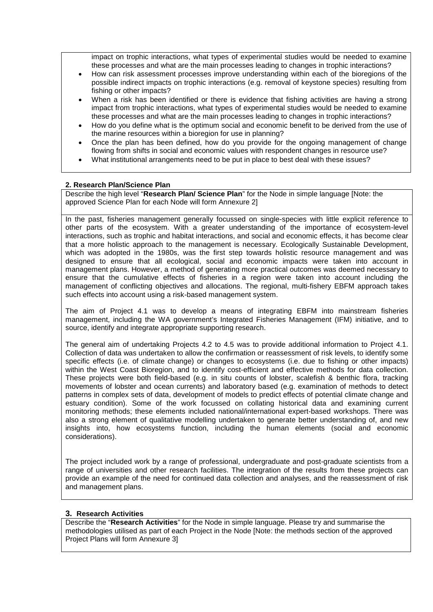impact on trophic interactions, what types of experimental studies would be needed to examine these processes and what are the main processes leading to changes in trophic interactions?

- How can risk assessment processes improve understanding within each of the bioregions of the possible indirect impacts on trophic interactions (e.g. removal of keystone species) resulting from fishing or other impacts?
- When a risk has been identified or there is evidence that fishing activities are having a strong impact from trophic interactions, what types of experimental studies would be needed to examine these processes and what are the main processes leading to changes in trophic interactions?
- How do you define what is the optimum social and economic benefit to be derived from the use of the marine resources within a bioregion for use in planning?
- Once the plan has been defined, how do you provide for the ongoing management of change flowing from shifts in social and economic values with respondent changes in resource use?
- What institutional arrangements need to be put in place to best deal with these issues?

#### **2. Research Plan/Science Plan**

Describe the high level "**Research Plan/ Science Plan**" for the Node in simple language [Note: the approved Science Plan for each Node will form Annexure 2]

In the past, fisheries management generally focussed on single-species with little explicit reference to other parts of the ecosystem. With a greater understanding of the importance of ecosystem-level interactions, such as trophic and habitat interactions, and social and economic effects, it has become clear that a more holistic approach to the management is necessary. Ecologically Sustainable Development, which was adopted in the 1980s, was the first step towards holistic resource management and was designed to ensure that all ecological, social and economic impacts were taken into account in management plans. However, a method of generating more practical outcomes was deemed necessary to ensure that the cumulative effects of fisheries in a region were taken into account including the management of conflicting objectives and allocations. The regional, multi-fishery EBFM approach takes such effects into account using a risk-based management system.

The aim of Project 4.1 was to develop a means of integrating EBFM into mainstream fisheries management, including the WA government's Integrated Fisheries Management (IFM) initiative, and to source, identify and integrate appropriate supporting research.

The general aim of undertaking Projects 4.2 to 4.5 was to provide additional information to Project 4.1. Collection of data was undertaken to allow the confirmation or reassessment of risk levels, to identify some specific effects (i.e. of climate change) or changes to ecosystems (i.e. due to fishing or other impacts) within the West Coast Bioregion, and to identify cost-efficient and effective methods for data collection. These projects were both field-based (e.g. in situ counts of lobster, scalefish & benthic flora, tracking movements of lobster and ocean currents) and laboratory based (e.g. examination of methods to detect patterns in complex sets of data, development of models to predict effects of potential climate change and estuary condition). Some of the work focussed on collating historical data and examining current monitoring methods; these elements included national/international expert-based workshops. There was also a strong element of qualitative modelling undertaken to generate better understanding of, and new insights into, how ecosystems function, including the human elements (social and economic considerations).

The project included work by a range of professional, undergraduate and post-graduate scientists from a range of universities and other research facilities. The integration of the results from these projects can provide an example of the need for continued data collection and analyses, and the reassessment of risk and management plans.

#### **3. Research Activities**

Describe the "**Research Activities**" for the Node in simple language. Please try and summarise the methodologies utilised as part of each Project in the Node [Note: the methods section of the approved Project Plans will form Annexure 3]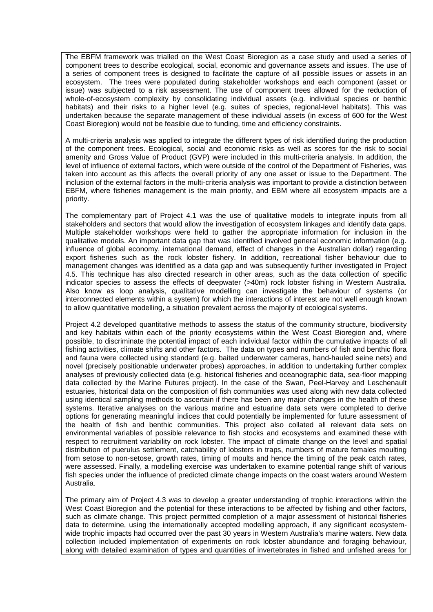The EBFM framework was trialled on the West Coast Bioregion as a case study and used a series of component trees to describe ecological, social, economic and governance assets and issues. The use of a series of component trees is designed to facilitate the capture of all possible issues or assets in an ecosystem. The trees were populated during stakeholder workshops and each component (asset or issue) was subjected to a risk assessment. The use of component trees allowed for the reduction of whole-of-ecosystem complexity by consolidating individual assets (e.g. individual species or benthic habitats) and their risks to a higher level (e.g. suites of species, regional-level habitats). This was undertaken because the separate management of these individual assets (in excess of 600 for the West Coast Bioregion) would not be feasible due to funding, time and efficiency constraints.

A multi-criteria analysis was applied to integrate the different types of risk identified during the production of the component trees. Ecological, social and economic risks as well as scores for the risk to social amenity and Gross Value of Product (GVP) were included in this multi-criteria analysis. In addition, the level of influence of external factors, which were outside of the control of the Department of Fisheries, was taken into account as this affects the overall priority of any one asset or issue to the Department. The inclusion of the external factors in the multi-criteria analysis was important to provide a distinction between EBFM, where fisheries management is the main priority, and EBM where all ecosystem impacts are a priority.

The complementary part of Project 4.1 was the use of qualitative models to integrate inputs from all stakeholders and sectors that would allow the investigation of ecosystem linkages and identify data gaps. Multiple stakeholder workshops were held to gather the appropriate information for inclusion in the qualitative models. An important data gap that was identified involved general economic information (e.g. influence of global economy, international demand, effect of changes in the Australian dollar) regarding export fisheries such as the rock lobster fishery. In addition, recreational fisher behaviour due to management changes was identified as a data gap and was subsequently further investigated in Project 4.5. This technique has also directed research in other areas, such as the data collection of specific indicator species to assess the effects of deepwater (>40m) rock lobster fishing in Western Australia. Also know as loop analysis, qualitative modelling can investigate the behaviour of systems (or interconnected elements within a system) for which the interactions of interest are not well enough known to allow quantitative modelling, a situation prevalent across the majority of ecological systems.

Project 4.2 developed quantitative methods to assess the status of the community structure, biodiversity and key habitats within each of the priority ecosystems within the West Coast Bioregion and, where possible, to discriminate the potential impact of each individual factor within the cumulative impacts of all fishing activities, climate shifts and other factors. The data on types and numbers of fish and benthic flora and fauna were collected using standard (e.g. baited underwater cameras, hand-hauled seine nets) and novel (precisely positionable underwater probes) approaches, in addition to undertaking further complex analyses of previously collected data (e.g. historical fisheries and oceanographic data, sea-floor mapping data collected by the Marine Futures project). In the case of the Swan, Peel-Harvey and Leschenault estuaries, historical data on the composition of fish communities was used along with new data collected using identical sampling methods to ascertain if there has been any major changes in the health of these systems. Iterative analyses on the various marine and estuarine data sets were completed to derive options for generating meaningful indices that could potentially be implemented for future assessment of the health of fish and benthic communities. This project also collated all relevant data sets on environmental variables of possible relevance to fish stocks and ecosystems and examined these with respect to recruitment variability on rock lobster. The impact of climate change on the level and spatial distribution of puerulus settlement, catchability of lobsters in traps, numbers of mature females moulting from setose to non-setose, growth rates, timing of moults and hence the timing of the peak catch rates, were assessed. Finally, a modelling exercise was undertaken to examine potential range shift of various fish species under the influence of predicted climate change impacts on the coast waters around Western Australia.

The primary aim of Project 4.3 was to develop a greater understanding of trophic interactions within the West Coast Bioregion and the potential for these interactions to be affected by fishing and other factors, such as climate change. This project permitted completion of a major assessment of historical fisheries data to determine, using the internationally accepted modelling approach, if any significant ecosystemwide trophic impacts had occurred over the past 30 years in Western Australia's marine waters. New data collection included implementation of experiments on rock lobster abundance and foraging behaviour, along with detailed examination of types and quantities of invertebrates in fished and unfished areas for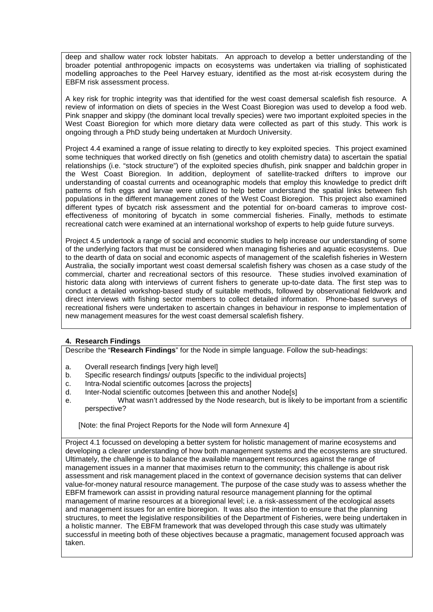deep and shallow water rock lobster habitats. An approach to develop a better understanding of the broader potential anthropogenic impacts on ecosystems was undertaken via trialling of sophisticated modelling approaches to the Peel Harvey estuary, identified as the most at-risk ecosystem during the EBFM risk assessment process.

A key risk for trophic integrity was that identified for the west coast demersal scalefish fish resource. A review of information on diets of species in the West Coast Bioregion was used to develop a food web. Pink snapper and skippy (the dominant local trevally species) were two important exploited species in the West Coast Bioregion for which more dietary data were collected as part of this study. This work is ongoing through a PhD study being undertaken at Murdoch University.

Project 4.4 examined a range of issue relating to directly to key exploited species. This project examined some techniques that worked directly on fish (genetics and otolith chemistry data) to ascertain the spatial relationships (i.e. "stock structure") of the exploited species dhufish, pink snapper and baldchin groper in the West Coast Bioregion. In addition, deployment of satellite-tracked drifters to improve our understanding of coastal currents and oceanographic models that employ this knowledge to predict drift patterns of fish eggs and larvae were utilized to help better understand the spatial links between fish populations in the different management zones of the West Coast Bioregion. This project also examined different types of bycatch risk assessment and the potential for on-board cameras to improve costeffectiveness of monitoring of bycatch in some commercial fisheries. Finally, methods to estimate recreational catch were examined at an international workshop of experts to help guide future surveys.

Project 4.5 undertook a range of social and economic studies to help increase our understanding of some of the underlying factors that must be considered when managing fisheries and aquatic ecosystems. Due to the dearth of data on social and economic aspects of management of the scalefish fisheries in Western Australia, the socially important west coast demersal scalefish fishery was chosen as a case study of the commercial, charter and recreational sectors of this resource. These studies involved examination of historic data along with interviews of current fishers to generate up-to-date data. The first step was to conduct a detailed workshop-based study of suitable methods, followed by observational fieldwork and direct interviews with fishing sector members to collect detailed information. Phone-based surveys of recreational fishers were undertaken to ascertain changes in behaviour in response to implementation of new management measures for the west coast demersal scalefish fishery.

## **4. Research Findings**

Describe the "**Research Findings**" for the Node in simple language. Follow the sub-headings:

- a. Overall research findings [very high level]
- b. Specific research findings/ outputs [specific to the individual projects]
- c. Intra-Nodal scientific outcomes [across the projects]
- d. Inter-Nodal scientific outcomes [between this and another Node[s]
- e. What wasn't addressed by the Node research, but is likely to be important from a scientific perspective?

[Note: the final Project Reports for the Node will form Annexure 4]

Project 4.1 focussed on developing a better system for holistic management of marine ecosystems and developing a clearer understanding of how both management systems and the ecosystems are structured. Ultimately, the challenge is to balance the available management resources against the range of management issues in a manner that maximises return to the community; this challenge is about risk assessment and risk management placed in the context of governance decision systems that can deliver value-for-money natural resource management. The purpose of the case study was to assess whether the EBFM framework can assist in providing natural resource management planning for the optimal management of marine resources at a bioregional level; i.e. a risk-assessment of the ecological assets and management issues for an entire bioregion. It was also the intention to ensure that the planning structures, to meet the legislative responsibilities of the Department of Fisheries, were being undertaken in a holistic manner. The EBFM framework that was developed through this case study was ultimately successful in meeting both of these objectives because a pragmatic, management focused approach was taken.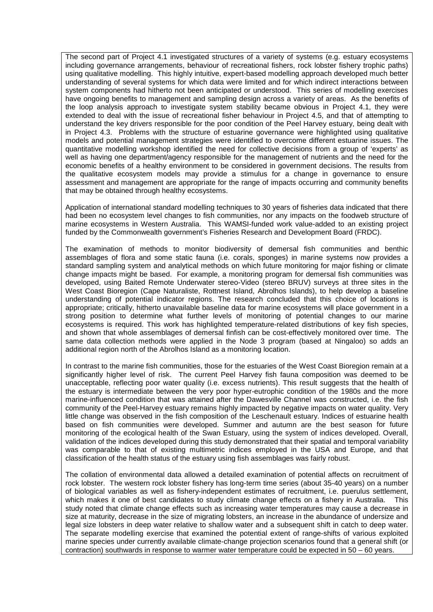The second part of Project 4.1 investigated structures of a variety of systems (e.g. estuary ecosystems including governance arrangements, behaviour of recreational fishers, rock lobster fishery trophic paths) using qualitative modelling. This highly intuitive, expert-based modelling approach developed much better understanding of several systems for which data were limited and for which indirect interactions between system components had hitherto not been anticipated or understood. This series of modelling exercises have ongoing benefits to management and sampling design across a variety of areas. As the benefits of the loop analysis approach to investigate system stability became obvious in Project 4.1, they were extended to deal with the issue of recreational fisher behaviour in Project 4.5, and that of attempting to understand the key drivers responsible for the poor condition of the Peel Harvey estuary, being dealt with in Project 4.3. Problems with the structure of estuarine governance were highlighted using qualitative models and potential management strategies were identified to overcome different estuarine issues. The quantitative modelling workshop identified the need for collective decisions from a group of 'experts' as well as having one department/agency responsible for the management of nutrients and the need for the economic benefits of a healthy environment to be considered in government decisions. The results from the qualitative ecosystem models may provide a stimulus for a change in governance to ensure assessment and management are appropriate for the range of impacts occurring and community benefits that may be obtained through healthy ecosystems.

Application of international standard modelling techniques to 30 years of fisheries data indicated that there had been no ecosystem level changes to fish communities, nor any impacts on the foodweb structure of marine ecosystems in Western Australia. This WAMSI-funded work value-added to an existing project funded by the Commonwealth government's Fisheries Research and Development Board (FRDC).

The examination of methods to monitor biodiversity of demersal fish communities and benthic assemblages of flora and some static fauna (i.e. corals, sponges) in marine systems now provides a standard sampling system and analytical methods on which future monitoring for major fishing or climate change impacts might be based. For example, a monitoring program for demersal fish communities was developed, using Baited Remote Underwater stereo-Video (stereo BRUV) surveys at three sites in the West Coast Bioregion (Cape Naturaliste, Rottnest Island, Abrolhos Islands), to help develop a baseline understanding of potential indicator regions. The research concluded that this choice of locations is appropriate; critically, hitherto unavailable baseline data for marine ecosystems will place government in a strong position to determine what further levels of monitoring of potential changes to our marine ecosystems is required. This work has highlighted temperature-related distributions of key fish species, and shown that whole assemblages of demersal finfish can be cost-effectively monitored over time. The same data collection methods were applied in the Node 3 program (based at Ningaloo) so adds an additional region north of the Abrolhos Island as a monitoring location.

In contrast to the marine fish communities, those for the estuaries of the West Coast Bioregion remain at a significantly higher level of risk. The current Peel Harvey fish fauna composition was deemed to be unacceptable, reflecting poor water quality (i.e. excess nutrients). This result suggests that the health of the estuary is intermediate between the very poor hyper-eutrophic condition of the 1980s and the more marine-influenced condition that was attained after the Dawesville Channel was constructed, i.e. the fish community of the Peel-Harvey estuary remains highly impacted by negative impacts on water quality. Very little change was observed in the fish composition of the Leschenault estuary. Indices of estuarine health based on fish communities were developed. Summer and autumn are the best season for future monitoring of the ecological health of the Swan Estuary, using the system of indices developed. Overall, validation of the indices developed during this study demonstrated that their spatial and temporal variability was comparable to that of existing multimetric indices employed in the USA and Europe, and that classification of the health status of the estuary using fish assemblages was fairly robust.

The collation of environmental data allowed a detailed examination of potential affects on recruitment of rock lobster. The western rock lobster fishery has long-term time series (about 35-40 years) on a number of biological variables as well as fishery-independent estimates of recruitment, i.e. puerulus settlement, which makes it one of best candidates to study climate change effects on a fishery in Australia. This study noted that climate change effects such as increasing water temperatures may cause a decrease in size at maturity, decrease in the size of migrating lobsters, an increase in the abundance of undersize and legal size lobsters in deep water relative to shallow water and a subsequent shift in catch to deep water. The separate modelling exercise that examined the potential extent of range-shifts of various exploited marine species under currently available climate-change projection scenarios found that a general shift (or contraction) southwards in response to warmer water temperature could be expected in 50 – 60 years.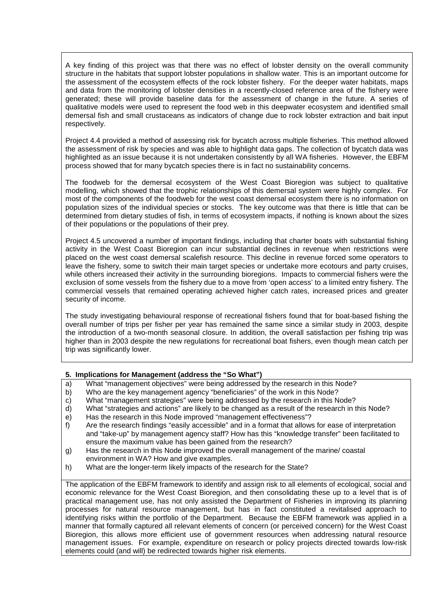A key finding of this project was that there was no effect of lobster density on the overall community structure in the habitats that support lobster populations in shallow water. This is an important outcome for the assessment of the ecosystem effects of the rock lobster fishery. For the deeper water habitats, maps and data from the monitoring of lobster densities in a recently-closed reference area of the fishery were generated; these will provide baseline data for the assessment of change in the future. A series of qualitative models were used to represent the food web in this deepwater ecosystem and identified small demersal fish and small crustaceans as indicators of change due to rock lobster extraction and bait input respectively.

Project 4.4 provided a method of assessing risk for bycatch across multiple fisheries. This method allowed the assessment of risk by species and was able to highlight data gaps. The collection of bycatch data was highlighted as an issue because it is not undertaken consistently by all WA fisheries. However, the EBFM process showed that for many bycatch species there is in fact no sustainability concerns.

The foodweb for the demersal ecosystem of the West Coast Bioregion was subject to qualitative modelling, which showed that the trophic relationships of this demersal system were highly complex. For most of the components of the foodweb for the west coast demersal ecosystem there is no information on population sizes of the individual species or stocks. The key outcome was that there is little that can be determined from dietary studies of fish, in terms of ecosystem impacts, if nothing is known about the sizes of their populations or the populations of their prey.

Project 4.5 uncovered a number of important findings, including that charter boats with substantial fishing activity in the West Coast Bioregion can incur substantial declines in revenue when restrictions were placed on the west coast demersal scalefish resource. This decline in revenue forced some operators to leave the fishery, some to switch their main target species or undertake more ecotours and party cruises, while others increased their activity in the surrounding bioregions. Impacts to commercial fishers were the exclusion of some vessels from the fishery due to a move from 'open access' to a limited entry fishery. The commercial vessels that remained operating achieved higher catch rates, increased prices and greater security of income.

The study investigating behavioural response of recreational fishers found that for boat-based fishing the overall number of trips per fisher per year has remained the same since a similar study in 2003, despite the introduction of a two-month seasonal closure. In addition, the overall satisfaction per fishing trip was higher than in 2003 despite the new regulations for recreational boat fishers, even though mean catch per trip was significantly lower.

#### **5. Implications for Management (address the "So What")**

- a) What "management objectives" were being addressed by the research in this Node?
- b) Who are the key management agency "beneficiaries" of the work in this Node?
- c) What "management strategies" were being addressed by the research in this Node?<br>d) What "strategies and actions" are likely to be changed as a result of the research in t
- What "strategies and actions" are likely to be changed as a result of the research in this Node?
- e) Has the research in this Node improved "management effectiveness"?<br>f) Are the research findings "easily accessible" and in a format that allows
- Are the research findings "easily accessible" and in a format that allows for ease of interpretation and "take-up" by management agency staff? How has this "knowledge transfer" been facilitated to ensure the maximum value has been gained from the research?
- g) Has the research in this Node improved the overall management of the marine/ coastal environment in WA? How and give examples.
- h) What are the longer-term likely impacts of the research for the State?

The application of the EBFM framework to identify and assign risk to all elements of ecological, social and economic relevance for the West Coast Bioregion, and then consolidating these up to a level that is of practical management use, has not only assisted the Department of Fisheries in improving its planning processes for natural resource management, but has in fact constituted a revitalised approach to identifying risks within the portfolio of the Department. Because the EBFM framework was applied in a manner that formally captured all relevant elements of concern (or perceived concern) for the West Coast Bioregion, this allows more efficient use of government resources when addressing natural resource management issues. For example, expenditure on research or policy projects directed towards low-risk elements could (and will) be redirected towards higher risk elements.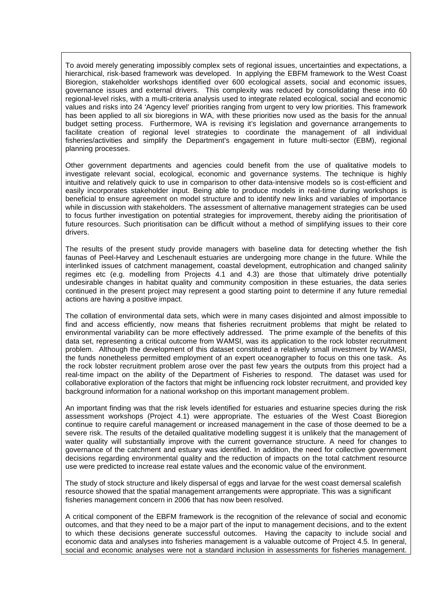To avoid merely generating impossibly complex sets of regional issues, uncertainties and expectations, a hierarchical, risk-based framework was developed. In applying the EBFM framework to the West Coast Bioregion, stakeholder workshops identified over 600 ecological assets, social and economic issues, governance issues and external drivers. This complexity was reduced by consolidating these into 60 regional-level risks, with a multi-criteria analysis used to integrate related ecological, social and economic values and risks into 24 'Agency level' priorities ranging from urgent to very low priorities. This framework has been applied to all six bioregions in WA, with these priorities now used as the basis for the annual budget setting process. Furthermore, WA is revising it's legislation and governance arrangements to facilitate creation of regional level strategies to coordinate the management of all individual fisheries/activities and simplify the Department's engagement in future multi-sector (EBM), regional planning processes.

Other government departments and agencies could benefit from the use of qualitative models to investigate relevant social, ecological, economic and governance systems. The technique is highly intuitive and relatively quick to use in comparison to other data-intensive models so is cost-efficient and easily incorporates stakeholder input. Being able to produce models in real-time during workshops is beneficial to ensure agreement on model structure and to identify new links and variables of importance while in discussion with stakeholders. The assessment of alternative management strategies can be used to focus further investigation on potential strategies for improvement, thereby aiding the prioritisation of future resources. Such prioritisation can be difficult without a method of simplifying issues to their core drivers.

The results of the present study provide managers with baseline data for detecting whether the fish faunas of Peel-Harvey and Leschenault estuaries are undergoing more change in the future. While the interlinked issues of catchment management, coastal development, eutrophication and changed salinity regimes etc (e.g. modelling from Projects 4.1 and 4.3) are those that ultimately drive potentially undesirable changes in habitat quality and community composition in these estuaries, the data series continued in the present project may represent a good starting point to determine if any future remedial actions are having a positive impact.

The collation of environmental data sets, which were in many cases disjointed and almost impossible to find and access efficiently, now means that fisheries recruitment problems that might be related to environmental variability can be more effectively addressed. The prime example of the benefits of this data set, representing a critical outcome from WAMSI, was its application to the rock lobster recruitment problem. Although the development of this dataset constituted a relatively small investment by WAMSI, the funds nonetheless permitted employment of an expert oceanographer to focus on this one task. As the rock lobster recruitment problem arose over the past few years the outputs from this project had a real-time impact on the ability of the Department of Fisheries to respond. The dataset was used for collaborative exploration of the factors that might be influencing rock lobster recruitment, and provided key background information for a national workshop on this important management problem.

An important finding was that the risk levels identified for estuaries and estuarine species during the risk assessment workshops (Project 4.1) were appropriate. The estuaries of the West Coast Bioregion continue to require careful management or increased management in the case of those deemed to be a severe risk. The results of the detailed qualitative modelling suggest it is unlikely that the management of water quality will substantially improve with the current governance structure. A need for changes to governance of the catchment and estuary was identified. In addition, the need for collective government decisions regarding environmental quality and the reduction of impacts on the total catchment resource use were predicted to increase real estate values and the economic value of the environment.

The study of stock structure and likely dispersal of eggs and larvae for the west coast demersal scalefish resource showed that the spatial management arrangements were appropriate. This was a significant fisheries management concern in 2006 that has now been resolved.

A critical component of the EBFM framework is the recognition of the relevance of social and economic outcomes, and that they need to be a major part of the input to management decisions, and to the extent to which these decisions generate successful outcomes. Having the capacity to include social and economic data and analyses into fisheries management is a valuable outcome of Project 4.5. In general, social and economic analyses were not a standard inclusion in assessments for fisheries management.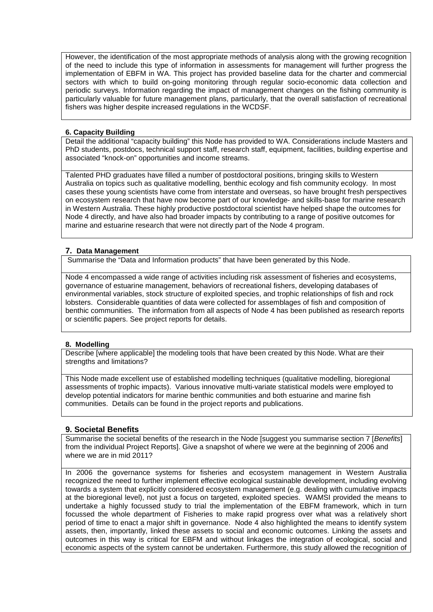However, the identification of the most appropriate methods of analysis along with the growing recognition of the need to include this type of information in assessments for management will further progress the implementation of EBFM in WA. This project has provided baseline data for the charter and commercial sectors with which to build on-going monitoring through regular socio-economic data collection and periodic surveys. Information regarding the impact of management changes on the fishing community is particularly valuable for future management plans, particularly, that the overall satisfaction of recreational fishers was higher despite increased regulations in the WCDSF.

#### **6. Capacity Building**

Detail the additional "capacity building" this Node has provided to WA. Considerations include Masters and PhD students, postdocs, technical support staff, research staff, equipment, facilities, building expertise and associated "knock-on" opportunities and income streams.

Talented PHD graduates have filled a number of postdoctoral positions, bringing skills to Western Australia on topics such as qualitative modelling, benthic ecology and fish community ecology. In most cases these young scientists have come from interstate and overseas, so have brought fresh perspectives on ecosystem research that have now become part of our knowledge- and skills-base for marine research in Western Australia. These highly productive postdoctoral scientist have helped shape the outcomes for Node 4 directly, and have also had broader impacts by contributing to a range of positive outcomes for marine and estuarine research that were not directly part of the Node 4 program.

#### **7. Data Management**

Summarise the "Data and Information products" that have been generated by this Node.

Node 4 encompassed a wide range of activities including risk assessment of fisheries and ecosystems, governance of estuarine management, behaviors of recreational fishers, developing databases of environmental variables, stock structure of exploited species, and trophic relationships of fish and rock lobsters. Considerable quantities of data were collected for assemblages of fish and composition of benthic communities. The information from all aspects of Node 4 has been published as research reports or scientific papers. See project reports for details.

## **8. Modelling**

Describe [where applicable] the modeling tools that have been created by this Node. What are their strengths and limitations?

This Node made excellent use of established modelling techniques (qualitative modelling, bioregional assessments of trophic impacts). Various innovative multi-variate statistical models were employed to develop potential indicators for marine benthic communities and both estuarine and marine fish communities. Details can be found in the project reports and publications.

# **9. Societal Benefits**

Summarise the societal benefits of the research in the Node [suggest you summarise section 7 [*Benefits*] from the individual Project Reports]. Give a snapshot of where we were at the beginning of 2006 and where we are in mid 2011?

In 2006 the governance systems for fisheries and ecosystem management in Western Australia recognized the need to further implement effective ecological sustainable development, including evolving towards a system that explicitly considered ecosystem management (e.g. dealing with cumulative impacts at the bioregional level), not just a focus on targeted, exploited species. WAMSI provided the means to undertake a highly focussed study to trial the implementation of the EBFM framework, which in turn focussed the whole department of Fisheries to make rapid progress over what was a relatively short period of time to enact a major shift in governance. Node 4 also highlighted the means to identify system assets, then, importantly, linked these assets to social and economic outcomes. Linking the assets and outcomes in this way is critical for EBFM and without linkages the integration of ecological, social and economic aspects of the system cannot be undertaken. Furthermore, this study allowed the recognition of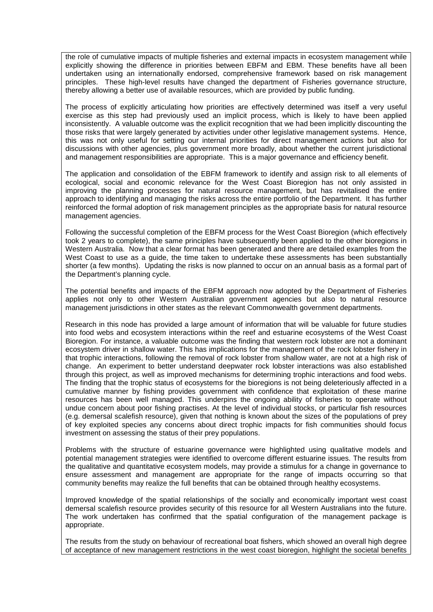the role of cumulative impacts of multiple fisheries and external impacts in ecosystem management while explicitly showing the difference in priorities between EBFM and EBM. These benefits have all been undertaken using an internationally endorsed, comprehensive framework based on risk management principles. These high-level results have changed the department of Fisheries governance structure, thereby allowing a better use of available resources, which are provided by public funding.

The process of explicitly articulating how priorities are effectively determined was itself a very useful exercise as this step had previously used an implicit process, which is likely to have been applied inconsistently. A valuable outcome was the explicit recognition that we had been implicitly discounting the those risks that were largely generated by activities under other legislative management systems. Hence, this was not only useful for setting our internal priorities for direct management actions but also for discussions with other agencies, plus government more broadly, about whether the current jurisdictional and management responsibilities are appropriate. This is a major governance and efficiency benefit.

The application and consolidation of the EBFM framework to identify and assign risk to all elements of ecological, social and economic relevance for the West Coast Bioregion has not only assisted in improving the planning processes for natural resource management, but has revitalised the entire approach to identifying and managing the risks across the entire portfolio of the Department. It has further reinforced the formal adoption of risk management principles as the appropriate basis for natural resource management agencies.

Following the successful completion of the EBFM process for the West Coast Bioregion (which effectively took 2 years to complete), the same principles have subsequently been applied to the other bioregions in Western Australia. Now that a clear format has been generated and there are detailed examples from the West Coast to use as a guide, the time taken to undertake these assessments has been substantially shorter (a few months). Updating the risks is now planned to occur on an annual basis as a formal part of the Department's planning cycle.

The potential benefits and impacts of the EBFM approach now adopted by the Department of Fisheries applies not only to other Western Australian government agencies but also to natural resource management jurisdictions in other states as the relevant Commonwealth government departments.

Research in this node has provided a large amount of information that will be valuable for future studies into food webs and ecosystem interactions within the reef and estuarine ecosystems of the West Coast Bioregion. For instance, a valuable outcome was the finding that western rock lobster are not a dominant ecosystem driver in shallow water. This has implications for the management of the rock lobster fishery in that trophic interactions, following the removal of rock lobster from shallow water, are not at a high risk of change. An experiment to better understand deepwater rock lobster interactions was also established through this project, as well as improved mechanisms for determining trophic interactions and food webs. The finding that the trophic status of ecosystems for the bioregions is not being deleteriously affected in a cumulative manner by fishing provides government with confidence that exploitation of these marine resources has been well managed. This underpins the ongoing ability of fisheries to operate without undue concern about poor fishing practises. At the level of individual stocks, or particular fish resources (e.g. demersal scalefish resource), given that nothing is known about the sizes of the populations of prey of key exploited species any concerns about direct trophic impacts for fish communities should focus investment on assessing the status of their prey populations.

Problems with the structure of estuarine governance were highlighted using qualitative models and potential management strategies were identified to overcome different estuarine issues. The results from the qualitative and quantitative ecosystem models, may provide a stimulus for a change in governance to ensure assessment and management are appropriate for the range of impacts occurring so that community benefits may realize the full benefits that can be obtained through healthy ecosystems.

Improved knowledge of the spatial relationships of the socially and economically important west coast demersal scalefish resource provides security of this resource for all Western Australians into the future. The work undertaken has confirmed that the spatial configuration of the management package is appropriate.

The results from the study on behaviour of recreational boat fishers, which showed an overall high degree of acceptance of new management restrictions in the west coast bioregion, highlight the societal benefits